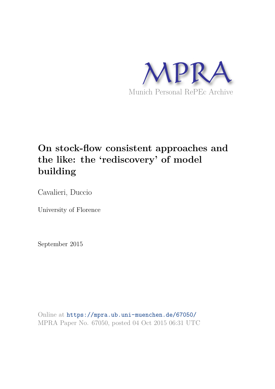

# **On stock-flow consistent approaches and the like: the 'rediscovery' of model building**

Cavalieri, Duccio

University of Florence

September 2015

Online at https://mpra.ub.uni-muenchen.de/67050/ MPRA Paper No. 67050, posted 04 Oct 2015 06:31 UTC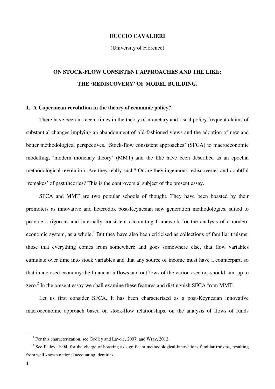#### **DUCCIO CAVALIERI**

(University of Florence)

## **ON STOCK-FLOW CONSISTENT APPROACHES AND THE LIKE: THE 'REDISCOVERY' OF MODEL BUILDING.**

#### **1. A Copernican revolution in the theory of economic policy?**

There have been in recent times in the theory of monetary and fiscal policy frequent claims of substantial changes implying an abandonment of old-fashioned views and the adoption of new and better methodological perspectives. 'Stock-flow consistent approaches' (SFCA) to macroeconomic modelling, 'modern monetary theory' (MMT) and the like have been described as an epochal methodological revolution. Are they really such? Or are they ingenuous rediscoveries and doubtful 'remakes' of past theories? This is the controversial subject of the present essay.

SFCA and MMT are two popular schools of thought. They have been boasted by their promoters as innovative and heterodox post-Keynesian new generation methodologies, suited to provide a rigorous and internally consistent accounting framework for the analysis of a modern economic system, as a whole.<sup>1</sup> But they have also been criticised as collections of familiar truisms: those that everything comes from somewhere and goes somewhere else, that flow variables cumulate over time into stock variables and that any source of income must have a counterpart, so that in a closed economy the financial inflows and outflows of the various sectors should sum up to zero. $2$  In the present essay we shall examine these features and distinguish SFCA from MMT.

Let us first consider SFCA. It has been characterized as a post-Keynesian innovative macroeconomic approach based on stock-flow relationships, on the analysis of flows of funds

<sup>&</sup>lt;sup>1</sup> For this characterization, see Godley and Lavoie, 2007, and Wray, 2012.

 $2^2$  See Palley, 1994, for the charge of boasting as significant methodological innovations familiar truisms, resulting from well known national accounting identities.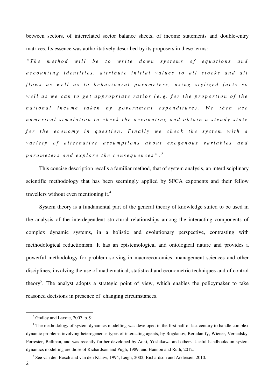between sectors, of interrelated sector balance sheets, of income statements and double-entry matrices. Its essence was authoritatively described by its proposers in these terms:

*" T h e m e t h o d w i l l b e t o w r i t e d o w n s y s t e m s o f e q u a t i o n s a n d accounting identities, attribute initial values to all stocks and all flows as well as to behavioural parameters, using stylized facts so well as we can to get appropriate ratios (e.g. for the proportion of the national* income taken by government expenditure). We then use *n u m e r i c a l s i m u l a t i o n t o c h e c k t h e a c c o u n t i n g a n d o b t a i n a s t e a d y s t a t e for the economy in question. Finally we shock the system with a variety of alternative assumptions about exogenous variables and p a r a m e t e r s a n d e x p l o r e t h e c o n s e q u e n c e s "* . 3

This concise description recalls a familiar method, that of system analysis, an interdisciplinary scientific methodology that has been seemingly applied by SFCA exponents and their fellow travellers without even mentioning it. $4$ 

System theory is a fundamental part of the general theory of knowledge suited to be used in the analysis of the interdependent structural relationships among the interacting components of complex dynamic systems, in a holistic and evolutionary perspective, contrasting with methodological reductionism. It has an epistemological and ontological nature and provides a powerful methodology for problem solving in macroeconomics, management sciences and other disciplines, involving the use of mathematical, statistical and econometric techniques and of control theory<sup>5</sup>. The analyst adopts a strategic point of view, which enables the policymaker to take reasoned decisions in presence of changing circumstances.

<sup>&</sup>lt;sup>3</sup> Godley and Lavoie, 2007, p. 9.

<sup>&</sup>lt;sup>4</sup> The methodology of system dynamics modelling was developed in the first half of last century to handle complex dynamic problems involving heterogeneous types of interacting agents, by Bogdanov, Bertalanffy, Wiener, Vernadsky, Forrester, Bellman, and was recently further developed by Aoki, Yoshikawa and others. Useful handbooks on system dynamics modelling are those of Richardson and Pugh, 1989, and Hannon and Ruth, 2012.

<sup>&</sup>lt;sup>5</sup> See van den Bosch and van den Klauw, 1994, Leigh, 2002, Richardson and Andersen, 2010.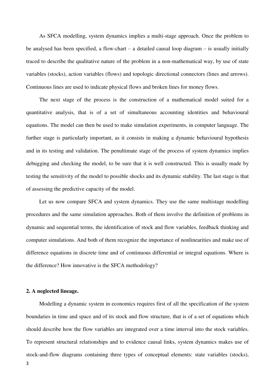As SFCA modelling, system dynamics implies a multi-stage approach. Once the problem to be analysed has been specified, a flow-chart – a detailed causal loop diagram – is usually initially traced to describe the qualitative nature of the problem in a non-mathematical way, by use of state variables (stocks), action variables (flows) and topologic directional connectors (lines and arrows). Continuous lines are used to indicate physical flows and broken lines for money flows.

The next stage of the process is the construction of a mathematical model suited for a quantitative analysis, that is of a set of simultaneous accounting identities and behavioural equations. The model can then be used to make simulation experiments, in computer language. The further stage is particularly important, as it consists in making a dynamic behavioural hypothesis and in its testing and validation. The penultimate stage of the process of system dynamics implies debugging and checking the model, to be sure that it is well constructed. This is usually made by testing the sensitivity of the model to possible shocks and its dynamic stability. The last stage is that of assessing the predictive capacity of the model.

Let us now compare SFCA and system dynamics. They use the same multistage modelling procedures and the same simulation approaches. Both of them involve the definition of problems in dynamic and sequential terms, the identification of stock and flow variables, feedback thinking and computer simulations. And both of them recognize the importance of nonlinearities and make use of difference equations in discrete time and of continuous differential or integral equations. Where is the difference? How innovative is the SFCA methodology?

#### **2. A neglected lineage.**

3 Modelling a dynamic system in economics requires first of all the specification of the system boundaries in time and space and of its stock and flow structure, that is of a set of equations which should describe how the flow variables are integrated over a time interval into the stock variables. To represent structural relationships and to evidence causal links, system dynamics makes use of stock-and-flow diagrams containing three types of conceptual elements: state variables (stocks),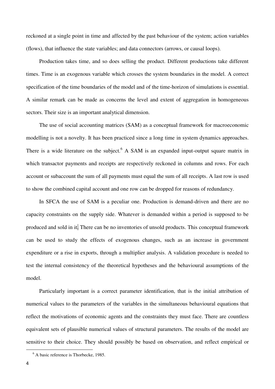reckoned at a single point in time and affected by the past behaviour of the system; action variables (flows), that influence the state variables; and data connectors (arrows, or causal loops).

Production takes time, and so does selling the product. Different productions take different times. Time is an exogenous variable which crosses the system boundaries in the model. A correct specification of the time boundaries of the model and of the time-horizon of simulations is essential. A similar remark can be made as concerns the level and extent of aggregation in homogeneous sectors. Their size is an important analytical dimension.

The use of social accounting matrices (SAM) as a conceptual framework for macroeconomic modelling is not a novelty. It has been practiced since a long time in system dynamics approaches. There is a wide literature on the subject.  $6$  A SAM is an expanded input-output square matrix in which transactor payments and receipts are respectively reckoned in columns and rows. For each account or subaccount the sum of all payments must equal the sum of all receipts. A last row is used to show the combined capital account and one row can be dropped for reasons of redundancy.

In SFCA the use of SAM is a peculiar one. Production is demand-driven and there are no capacity constraints on the supply side. Whatever is demanded within a period is supposed to be produced and sold in it. There can be no inventories of unsold products. This conceptual framework can be used to study the effects of exogenous changes, such as an increase in government expenditure or a rise in exports, through a multiplier analysis. A validation procedure is needed to test the internal consistency of the theoretical hypotheses and the behavioural assumptions of the model.

Particularly important is a correct parameter identification, that is the initial attribution of numerical values to the parameters of the variables in the simultaneous behavioural equations that reflect the motivations of economic agents and the constraints they must face. There are countless equivalent sets of plausible numerical values of structural parameters. The results of the model are sensitive to their choice. They should possibly be based on observation, and reflect empirical or

<sup>6</sup> A basic reference is Thorbecke, 1985.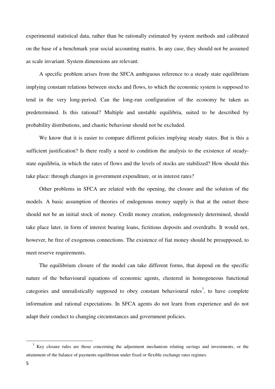experimental statistical data, rather than be rationally estimated by system methods and calibrated on the base of a benchmark year social accounting matrix. In any case, they should not be assumed as scale invariant. System dimensions are relevant.

A specific problem arises from the SFCA ambiguous reference to a steady state equilibrium implying constant relations between stocks and flows, to which the economic system is supposed to tend in the very long-period. Can the long-run configuration of the economy be taken as predetermined. Is this rational? Multiple and unstable equilibria, suited to be described by probability distributions, and chaotic behaviour should not be excluded.

We know that it is easier to compare different policies implying steady states. But is this a sufficient justification? Is there really a need to condition the analysis to the existence of steadystate equilibria, in which the rates of flows and the levels of stocks are stabilized? How should this take place: through changes in government expenditure, or in interest rates?

Other problems in SFCA are related with the opening, the closure and the solution of the models. A basic assumption of theories of endogenous money supply is that at the outset there should not be an initial stock of money. Credit money creation, endogenously determined, should take place later, in form of interest bearing loans, fictitious deposits and overdrafts. It would not, however, be free of exogenous connections. The existence of fiat money should be presupposed, to meet reserve requirements.

The equilibrium closure of the model can take different forms, that depend on the specific nature of the behavioural equations of economic agents, clustered in homogeneous functional categories and unrealistically supposed to obey constant behavioural rules<sup>7</sup>, to have complete information and rational expectations. In SFCA agents do not learn from experience and do not adapt their conduct to changing circumstances and government policies.

<sup>&</sup>lt;sup>7</sup> Key closure rules are those concerning the adjustment mechanism relating savings and investments, or the attainment of the balance of payments equilibrium under fixed or flexible exchange rates regimes.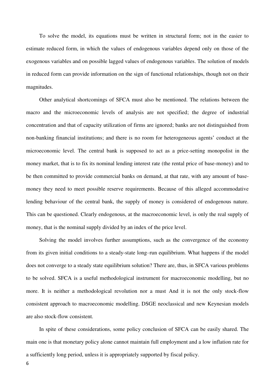To solve the model, its equations must be written in structural form; not in the easier to estimate reduced form, in which the values of endogenous variables depend only on those of the exogenous variables and on possible lagged values of endogenous variables. The solution of models in reduced form can provide information on the sign of functional relationships, though not on their magnitudes.

Other analytical shortcomings of SFCA must also be mentioned. The relations between the macro and the microeconomic levels of analysis are not specified; the degree of industrial concentration and that of capacity utilization of firms are ignored; banks are not distinguished from non-banking financial institutions; and there is no room for heterogeneous agents' conduct at the microeconomic level. The central bank is supposed to act as a price-setting monopolist in the money market, that is to fix its nominal lending interest rate (the rental price of base-money) and to be then committed to provide commercial banks on demand, at that rate, with any amount of basemoney they need to meet possible reserve requirements. Because of this alleged accommodative lending behaviour of the central bank, the supply of money is considered of endogenous nature. This can be questioned. Clearly endogenous, at the macroeconomic level, is only the real supply of money, that is the nominal supply divided by an index of the price level.

Solving the model involves further assumptions, such as the convergence of the economy from its given initial conditions to a steady-state long–run equilibrium. What happens if the model does not converge to a steady state equilibrium solution? There are, thus, in SFCA various problems to be solved. SFCA is a useful methodological instrument for macroeconomic modelling, but no more. It is neither a methodological revolution nor a must And it is not the only stock-flow consistent approach to macroeconomic modelling. DSGE neoclassical and new Keynesian models are also stock-flow consistent.

In spite of these considerations, some policy conclusion of SFCA can be easily shared. The main one is that monetary policy alone cannot maintain full employment and a low inflation rate for a sufficiently long period, unless it is appropriately supported by fiscal policy.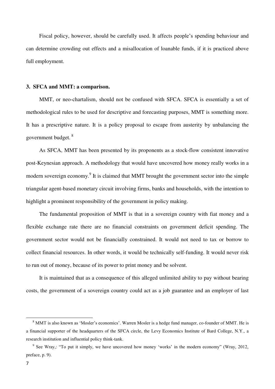Fiscal policy, however, should be carefully used. It affects people's spending behaviour and can determine crowding out effects and a misallocation of loanable funds, if it is practiced above full employment.

#### **3. SFCA and MMT: a comparison.**

MMT, or neo-chartalism, should not be confused with SFCA. SFCA is essentially a set of methodological rules to be used for descriptive and forecasting purposes, MMT is something more. It has a prescriptive nature. It is a policy proposal to escape from austerity by unbalancing the government budget. <sup>8</sup>

As SFCA, MMT has been presented by its proponents as a stock-flow consistent innovative post-Keynesian approach. A methodology that would have uncovered how money really works in a modern sovereign economy.<sup>9</sup> It is claimed that MMT brought the government sector into the simple triangular agent-based monetary circuit involving firms, banks and households, with the intention to highlight a prominent responsibility of the government in policy making.

The fundamental proposition of MMT is that in a sovereign country with fiat money and a flexible exchange rate there are no financial constraints on government deficit spending. The government sector would not be financially constrained. It would not need to tax or borrow to collect financial resources. In other words, it would be technically self-funding. It would never risk to run out of money, because of its power to print money and be solvent.

It is maintained that as a consequence of this alleged unlimited ability to pay without bearing costs, the government of a sovereign country could act as a job guarantee and an employer of last

<sup>8</sup> MMT is also known as 'Mosler's economics'. Warren Mosler is a hedge fund manager, co-founder of MMT. He is a financial supporter of the headquarters of the SFCA circle, the Levy Economics Institute of Bard College, N.Y., a research institution and influential policy think-tank.

<sup>&</sup>lt;sup>9</sup> See Wray,: "To put it simply, we have uncovered how money 'works' in the modern economy" (Wray, 2012, preface, p. 9).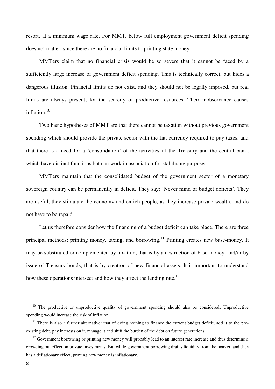resort, at a minimum wage rate. For MMT, below full employment government deficit spending does not matter, since there are no financial limits to printing state money.

MMTers claim that no financial crisis would be so severe that it cannot be faced by a sufficiently large increase of government deficit spending. This is technically correct, but hides a dangerous illusion. Financial limits do not exist, and they should not be legally imposed, but real limits are always present, for the scarcity of productive resources. Their inobservance causes inflation.<sup>10</sup>

Two basic hypotheses of MMT are that there cannot be taxation without previous government spending which should provide the private sector with the fiat currency required to pay taxes, and that there is a need for a 'consolidation' of the activities of the Treasury and the central bank, which have distinct functions but can work in association for stabilising purposes.

MMTers maintain that the consolidated budget of the government sector of a monetary sovereign country can be permanently in deficit. They say: 'Never mind of budget deficits'. They are useful, they stimulate the economy and enrich people, as they increase private wealth, and do not have to be repaid.

Let us therefore consider how the financing of a budget deficit can take place. There are three principal methods: printing money, taxing, and borrowing.<sup>11</sup> Printing creates new base-money. It may be substituted or complemented by taxation, that is by a destruction of base-money, and/or by issue of Treasury bonds, that is by creation of new financial assets. It is important to understand how these operations intersect and how they affect the lending rate.<sup>12</sup>

 $10$  The productive or unproductive quality of government spending should also be considered. Unproductive spending would increase the risk of inflation.

 $11$  There is also a further alternative: that of doing nothing to finance the current budget deficit, add it to the preexisting debt, pay interests on it, manage it and shift the burden of the debt on future generations.

 $12$  Government borrowing or printing new money will probably lead to an interest rate increase and thus determine a crowding out effect on private investments. But while government borrowing drains liquidity from the market, and thus has a deflationary effect, printing new money is inflationary.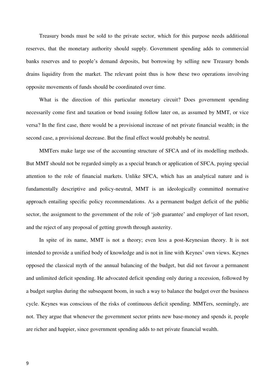Treasury bonds must be sold to the private sector, which for this purpose needs additional reserves, that the monetary authority should supply. Government spending adds to commercial banks reserves and to people's demand deposits, but borrowing by selling new Treasury bonds drains liquidity from the market. The relevant point thus is how these two operations involving opposite movements of funds should be coordinated over time.

What is the direction of this particular monetary circuit? Does government spending necessarily come first and taxation or bond issuing follow later on, as assumed by MMT, or vice versa? In the first case, there would be a provisional increase of net private financial wealth; in the second case, a provisional decrease. But the final effect would probably be neutral.

MMTers make large use of the accounting structure of SFCA and of its modelling methods. But MMT should not be regarded simply as a special branch or application of SFCA, paying special attention to the role of financial markets. Unlike SFCA, which has an analytical nature and is fundamentally descriptive and policy-neutral, MMT is an ideologically committed normative approach entailing specific policy recommendations. As a permanent budget deficit of the public sector, the assignment to the government of the role of 'job guarantee' and employer of last resort, and the reject of any proposal of getting growth through austerity.

In spite of its name, MMT is not a theory; even less a post-Keynesian theory. It is not intended to provide a unified body of knowledge and is not in line with Keynes' own views. Keynes opposed the classical myth of the annual balancing of the budget, but did not favour a permanent and unlimited deficit spending. He advocated deficit spending only during a recession, followed by a budget surplus during the subsequent boom, in such a way to balance the budget over the business cycle. Keynes was conscious of the risks of continuous deficit spending. MMTers, seemingly, are not. They argue that whenever the government sector prints new base-money and spends it, people are richer and happier, since government spending adds to net private financial wealth.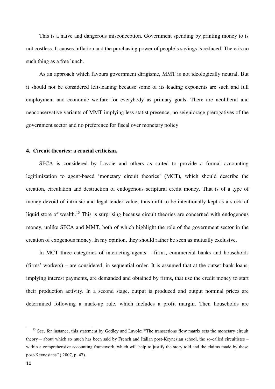This is a naïve and dangerous misconception. Government spending by printing money to is not costless. It causes inflation and the purchasing power of people's savings is reduced. There is no such thing as a free lunch.

As an approach which favours government dirigisme, MMT is not ideologically neutral. But it should not be considered left-leaning because some of its leading exponents are such and full employment and economic welfare for everybody as primary goals. There are neoliberal and neoconservative variants of MMT implying less statist presence, no seigniorage prerogatives of the government sector and no preference for fiscal over monetary policy

#### **4. Circuit theories: a crucial criticism.**

SFCA is considered by Lavoie and others as suited to provide a formal accounting legitimization to agent-based 'monetary circuit theories' (MCT), which should describe the creation, circulation and destruction of endogenous scriptural credit money. That is of a type of money devoid of intrinsic and legal tender value; thus unfit to be intentionally kept as a stock of liquid store of wealth.<sup>13</sup> This is surprising because circuit theories are concerned with endogenous money, unlike SFCA and MMT, both of which highlight the role of the government sector in the creation of exogenous money. In my opinion, they should rather be seen as mutually exclusive.

In MCT three categories of interacting agents – firms, commercial banks and households (firms' workers) – are considered, in sequential order. It is assumed that at the outset bank loans, implying interest payments, are demanded and obtained by firms, that use the credit money to start their production activity. In a second stage, output is produced and output nominal prices are determined following a mark-up rule, which includes a profit margin. Then households are

<sup>&</sup>lt;sup>13</sup> See, for instance, this statement by Godley and Lavoie: "The transactions flow matrix sets the monetary circuit theory – about which so much has been said by French and Italian post-Keynesian school, the so-called circuitistes – within a comprehensive accounting framework, which will help to justify the story told and the claims made by these post-Keynesians" ( 2007, p. 47).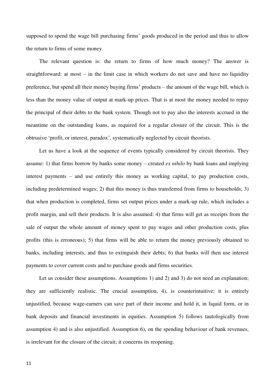supposed to spend the wage bill purchasing firms' goods produced in the period and thus to allow the return to firms of some money.

The relevant question is: the return to firms of how much money? The answer is straightforward: at most – in the limit case in which workers do not save and have no liquidity preference, but spend all their money buying firms' products – the amount of the wage bill, which is less than the money value of output at mark-up prices. That is at most the money needed to repay the principal of their debts to the bank system. Though not to pay also the interests accrued in the meantime on the outstanding loans, as required for a regular closure of the circuit. This is the obtrusive 'profit, or interest, paradox', systematically neglected by circuit theorists.

Let us have a look at the sequence of events typically considered by circuit theorists. They assume: 1) that firms borrow by banks some money – created *ex nihilo* by bank loans and implying interest payments – and use entirely this money as working capital, to pay production costs, including predetermined wages; 2) that this money is thus transferred from firms to households; 3) that when production is completed, firms set output prices under a mark-up rule, which includes a profit margin, and sell their products. It is also assumed: 4) that firms will get as receipts from the sale of output the whole amount of money spent to pay wages and other production costs, plus profits (this is erroneous); 5) that firms will be able to return the money previously obtained to banks, including interests, and thus to extinguish their debts; 6) that banks will then use interest payments to cover current costs and to purchase goods and firms securities.

Let us consider these assumptions. Assumptions 1) and 2) and 3) do not need an explanation; they are sufficiently realistic. The crucial assumption, 4), is counterintuitive; it is entirely unjustified, because wage-earners can save part of their income and hold it, in liquid form, or in bank deposits and financial investments in equities. Assumption 5) follows tautologically from assumption 4) and is also unjustified. Assumption 6), on the spending behaviour of bank revenues, is irrelevant for the closure of the circuit; it concerns its reopening.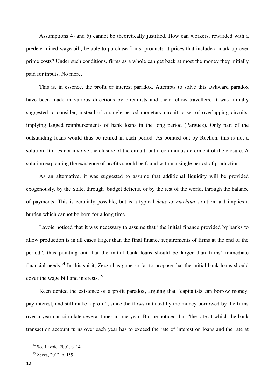Assumptions 4) and 5) cannot be theoretically justified. How can workers, rewarded with a predetermined wage bill, be able to purchase firms' products at prices that include a mark-up over prime costs? Under such conditions, firms as a whole can get back at most the money they initially paid for inputs. No more.

This is, in essence, the profit or interest paradox. Attempts to solve this awkward paradox have been made in various directions by circuitists and their fellow-travellers. It was initially suggested to consider, instead of a single-period monetary circuit, a set of overlapping circuits, implying lagged reimbursements of bank loans in the long period (Parguez). Only part of the outstanding loans would thus be retired in each period. As pointed out by Rochon, this is not a solution. It does not involve the closure of the circuit, but a continuous deferment of the closure. A solution explaining the existence of profits should be found within a single period of production.

As an alternative, it was suggested to assume that additional liquidity will be provided exogenously, by the State, through budget deficits, or by the rest of the world, through the balance of payments. This is certainly possible, but is a typical *deus ex machina* solution and implies a burden which cannot be born for a long time*.*

Lavoie noticed that it was necessary to assume that "the initial finance provided by banks to allow production is in all cases larger than the final finance requirements of firms at the end of the period", thus pointing out that the initial bank loans should be larger than firms' immediate financial needs.<sup>14</sup> In this spirit, Zezza has gone so far to propose that the initial bank loans should cover the wage bill and interests.<sup>15</sup>

Keen denied the existence of a profit paradox, arguing that "capitalists can borrow money, pay interest, and still make a profit", since the flows initiated by the money borrowed by the firms over a year can circulate several times in one year. But he noticed that "the rate at which the bank transaction account turns over each year has to exceed the rate of interest on loans and the rate at

<sup>&</sup>lt;sup>14</sup> See Lavoie, 2001, p. 14.

<sup>15</sup> Zezza, 2012, p. 159.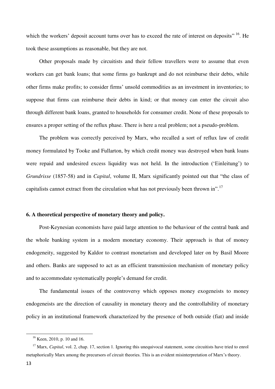which the workers' deposit account turns over has to exceed the rate of interest on deposits" <sup>16</sup>. He took these assumptions as reasonable, but they are not.

Other proposals made by circuitists and their fellow travellers were to assume that even workers can get bank loans; that some firms go bankrupt and do not reimburse their debts, while other firms make profits; to consider firms' unsold commodities as an investment in inventories; to suppose that firms can reimburse their debts in kind; or that money can enter the circuit also through different bank loans, granted to households for consumer credit. None of these proposals to ensures a proper setting of the reflux phase. There is here a real problem; not a pseudo-problem.

The problem was correctly perceived by Marx, who recalled a sort of reflux law of credit money formulated by Tooke and Fullarton, by which credit money was destroyed when bank loans were repaid and undesired excess liquidity was not held. In the introduction ('Einleitung') to *Grundrisse* (1857-58) and in *Capital*, volume II, Marx significantly pointed out that "the class of capitalists cannot extract from the circulation what has not previously been thrown in".<sup>17</sup>

#### **6. A theoretical perspective of monetary theory and policy.**

Post-Keynesian economists have paid large attention to the behaviour of the central bank and the whole banking system in a modern monetary economy. Their approach is that of money endogeneity, suggested by Kaldor to contrast monetarism and developed later on by Basil Moore and others. Banks are supposed to act as an efficient transmission mechanism of monetary policy and to accommodate systematically people's demand for credit.

The fundamental issues of the controversy which opposes money exogeneists to money endogeneists are the direction of causality in monetary theory and the controllability of monetary policy in an institutional framework characterized by the presence of both outside (fiat) and inside

<sup>16</sup> Keen, 2010, p. 10 and 16.

<sup>&</sup>lt;sup>17</sup> Marx, *Capital*, vol. 2, chap. 17, section 1. Ignoring this unequivocal statement, some circuitists have tried to enrol metaphorically Marx among the precursors of circuit theories. This is an evident misinterpretation of Marx's theory.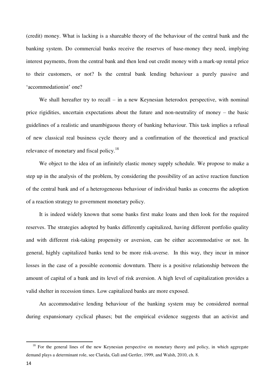(credit) money. What is lacking is a shareable theory of the behaviour of the central bank and the banking system. Do commercial banks receive the reserves of base-money they need, implying interest payments, from the central bank and then lend out credit money with a mark-up rental price to their customers, or not? Is the central bank lending behaviour a purely passive and 'accommodationist' one?

We shall hereafter try to recall  $-$  in a new Keynesian heterodox perspective, with nominal price rigidities, uncertain expectations about the future and non-neutrality of money – the basic guidelines of a realistic and unambiguous theory of banking behaviour. This task implies a refusal of new classical real business cycle theory and a confirmation of the theoretical and practical relevance of monetary and fiscal policy.<sup>18</sup>

We object to the idea of an infinitely elastic money supply schedule. We propose to make a step up in the analysis of the problem, by considering the possibility of an active reaction function of the central bank and of a heterogeneous behaviour of individual banks as concerns the adoption of a reaction strategy to government monetary policy.

It is indeed widely known that some banks first make loans and then look for the required reserves. The strategies adopted by banks differently capitalized, having different portfolio quality and with different risk-taking propensity or aversion, can be either accommodative or not. In general, highly capitalized banks tend to be more risk-averse. In this way, they incur in minor losses in the case of a possible economic downturn. There is a positive relationship between the amount of capital of a bank and its level of risk aversion. A high level of capitalization provides a valid shelter in recession times. Low capitalized banks are more exposed.

An accommodative lending behaviour of the banking system may be considered normal during expansionary cyclical phases; but the empirical evidence suggests that an activist and

 $18$  For the general lines of the new Keynesian perspective on monetary theory and policy, in which aggregate demand plays a determinant role, see Clarida, Galì and Gertler, 1999, and Walsh, 2010, ch. 8.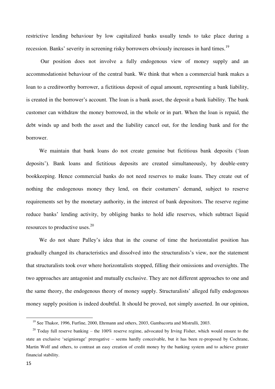restrictive lending behaviour by low capitalized banks usually tends to take place during a recession. Banks' severity in screening risky borrowers obviously increases in hard times.<sup>19</sup>

 Our position does not involve a fully endogenous view of money supply and an accommodationist behaviour of the central bank. We think that when a commercial bank makes a loan to a creditworthy borrower, a fictitious deposit of equal amount, representing a bank liability, is created in the borrower's account. The loan is a bank asset, the deposit a bank liability. The bank customer can withdraw the money borrowed, in the whole or in part. When the loan is repaid, the debt winds up and both the asset and the liability cancel out, for the lending bank and for the borrower.

We maintain that bank loans do not create genuine but fictitious bank deposits ('loan deposits'). Bank loans and fictitious deposits are created simultaneously, by double-entry bookkeeping. Hence commercial banks do not need reserves to make loans. They create out of nothing the endogenous money they lend, on their costumers' demand, subject to reserve requirements set by the monetary authority, in the interest of bank depositors. The reserve regime reduce banks' lending activity, by obliging banks to hold idle reserves, which subtract liquid resources to productive uses.<sup>20</sup>

We do not share Palley's idea that in the course of time the horizontalist position has gradually changed its characteristics and dissolved into the structuralists's view, nor the statement that structuralists took over where horizontalists stopped, filling their omissions and oversights. The two approaches are antagonist and mutually exclusive. They are not different approaches to one and the same theory, the endogenous theory of money supply. Structuralists' alleged fully endogenous money supply position is indeed doubtful. It should be proved, not simply asserted. In our opinion,

<sup>&</sup>lt;sup>19</sup> See Thakor, 1996, Furfine, 2000, Ehrmann and others, 2003, Gambacorta and Mistrulli, 2003.

<sup>&</sup>lt;sup>20</sup> Today full reserve banking – the 100% reserve regime, advocated by Irving Fisher, which would ensure to the state an exclusive 'seigniorage' prerogative – seems hardly conceivable, but it has been re-proposed by Cochrane, Martin Wolf and others, to contrast an easy creation of credit money by the banking system and to achieve greater financial stability.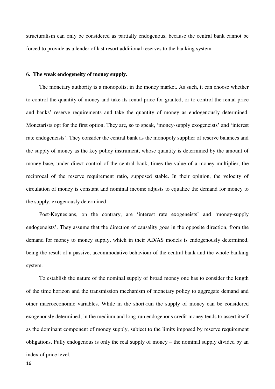structuralism can only be considered as partially endogenous, because the central bank cannot be forced to provide as a lender of last resort additional reserves to the banking system.

#### **6. The weak endogeneity of money supply.**

The monetary authority is a monopolist in the money market. As such, it can choose whether to control the quantity of money and take its rental price for granted, or to control the rental price and banks' reserve requirements and take the quantity of money as endogenously determined. Monetarists opt for the first option. They are, so to speak, 'money-supply exogeneists' and 'interest rate endogeneists'. They consider the central bank as the monopoly supplier of reserve balances and the supply of money as the key policy instrument, whose quantity is determined by the amount of money-base, under direct control of the central bank, times the value of a money multiplier, the reciprocal of the reserve requirement ratio, supposed stable. In their opinion, the velocity of circulation of money is constant and nominal income adjusts to equalize the demand for money to the supply, exogenously determined.

Post-Keynesians, on the contrary, are 'interest rate exogeneists' and 'money-supply endogeneists'. They assume that the direction of causality goes in the opposite direction, from the demand for money to money supply, which in their AD/AS models is endogenously determined, being the result of a passive, accommodative behaviour of the central bank and the whole banking system.

To establish the nature of the nominal supply of broad money one has to consider the length of the time horizon and the transmission mechanism of monetary policy to aggregate demand and other macroeconomic variables. While in the short-run the supply of money can be considered exogenously determined, in the medium and long-run endogenous credit money tends to assert itself as the dominant component of money supply, subject to the limits imposed by reserve requirement obligations. Fully endogenous is only the real supply of money – the nominal supply divided by an index of price level.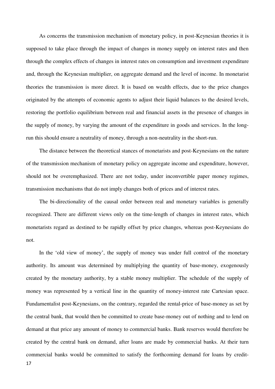As concerns the transmission mechanism of monetary policy, in post-Keynesian theories it is supposed to take place through the impact of changes in money supply on interest rates and then through the complex effects of changes in interest rates on consumption and investment expenditure and, through the Keynesian multiplier, on aggregate demand and the level of income. In monetarist theories the transmission is more direct. It is based on wealth effects, due to the price changes originated by the attempts of economic agents to adjust their liquid balances to the desired levels, restoring the portfolio equilibrium between real and financial assets in the presence of changes in the supply of money, by varying the amount of the expenditure in goods and services. In the longrun this should ensure a neutrality of money, through a non-neutrality in the short-run.

The distance between the theoretical stances of monetarists and post-Keynesians on the nature of the transmission mechanism of monetary policy on aggregate income and expenditure, however, should not be overemphasized. There are not today, under inconvertible paper money regimes, transmission mechanisms that do not imply changes both of prices and of interest rates.

The bi-directionality of the causal order between real and monetary variables is generally recognized. There are different views only on the time-length of changes in interest rates, which monetarists regard as destined to be rapidly offset by price changes, whereas post-Keynesians do not.

17 In the 'old view of money', the supply of money was under full control of the monetary authority. Its amount was determined by multiplying the quantity of base-money, exogenously created by the monetary authority, by a stable money multiplier. The schedule of the supply of money was represented by a vertical line in the quantity of money-interest rate Cartesian space. Fundamentalist post-Keynesians, on the contrary, regarded the rental-price of base-money as set by the central bank, that would then be committed to create base-money out of nothing and to lend on demand at that price any amount of money to commercial banks. Bank reserves would therefore be created by the central bank on demand, after loans are made by commercial banks. At their turn commercial banks would be committed to satisfy the forthcoming demand for loans by credit-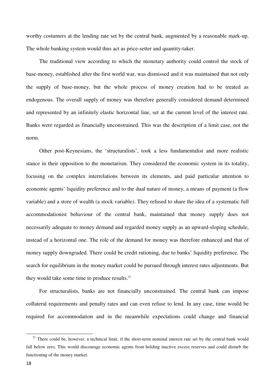worthy costumers at the lending rate set by the central bank, augmented by a reasonable mark-up. The whole banking system would thus act as price-setter and quantity-taker.

The traditional view according to which the monetary authority could control the stock of base-money, established after the first world war, was dismissed and it was maintained that not only the supply of base-money, but the whole process of money creation had to be treated as endogenous. The overall supply of money was therefore generally considered demand determined and represented by an infinitely elastic horizontal line, set at the current level of the interest rate. Banks were regarded as financially unconstrained. This was the description of a limit case, not the norm.

Other post-Keynesians, the 'structuralists', took a less fundamentalist and more realistic stance in their opposition to the monetarism. They considered the economic system in its totality, focusing on the complex interrelations between its elements, and paid particular attention to economic agents' liquidity preference and to the dual nature of money, a means of payment (a flow variable) and a store of wealth (a stock variable). They refused to share the idea of a systematic full accommodationist behaviour of the central bank, maintained that money supply does not necessarily adequate to money demand and regarded money supply as an upward-sloping schedule, instead of a horizontal one. The role of the demand for money was therefore enhanced and that of money supply downgraded. There could be credit rationing, due to banks' liquidity preference. The search for equilibrium in the money market could be pursued through interest rates adjustments. But they would take some time to produce results. $21$ 

For structuralists, banks are not financially unconstrained. The central bank can impose collateral requirements and penalty rates and can even refuse to lend. In any case, time would be required for accommodation and in the meanwhile expectations could change and financial

 $21$  There could be, however, a technical limit, if the short-term nominal interest rate set by the central bank would fall below zero. This would discourage economic agents from holding inactive excess reserves and could disturb the functioning of the money market.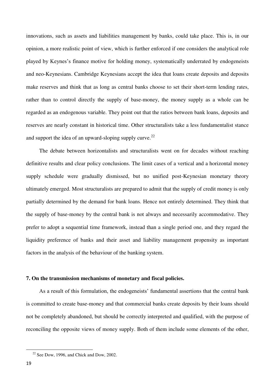innovations, such as assets and liabilities management by banks, could take place. This is, in our opinion, a more realistic point of view, which is further enforced if one considers the analytical role played by Keynes's finance motive for holding money, systematically underrated by endogeneists and neo-Keynesians. Cambridge Keynesians accept the idea that loans create deposits and deposits make reserves and think that as long as central banks choose to set their short-term lending rates, rather than to control directly the supply of base-money, the money supply as a whole can be regarded as an endogenous variable. They point out that the ratios between bank loans, deposits and reserves are nearly constant in historical time. Other structuralists take a less fundamentalist stance and support the idea of an upward-sloping supply curve. $^{22}$ 

The debate between horizontalists and structuralists went on for decades without reaching definitive results and clear policy conclusions. The limit cases of a vertical and a horizontal money supply schedule were gradually dismissed, but no unified post-Keynesian monetary theory ultimately emerged. Most structuralists are prepared to admit that the supply of credit money is only partially determined by the demand for bank loans. Hence not entirely determined. They think that the supply of base-money by the central bank is not always and necessarily accommodative. They prefer to adopt a sequential time framework, instead than a single period one, and they regard the liquidity preference of banks and their asset and liability management propensity as important factors in the analysis of the behaviour of the banking system.

#### **7. On the transmission mechanisms of monetary and fiscal policies.**

As a result of this formulation, the endogeneists' fundamental assertions that the central bank is committed to create base-money and that commercial banks create deposits by their loans should not be completely abandoned, but should be correctly interpreted and qualified, with the purpose of reconciling the opposite views of money supply. Both of them include some elements of the other,

 $22$  See Dow, 1996, and Chick and Dow, 2002.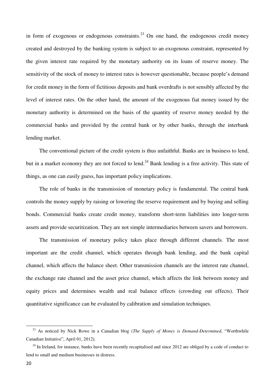in form of exogenous or endogenous constraints.<sup>23</sup> On one hand, the endogenous credit money created and destroyed by the banking system is subject to an exogenous constraint, represented by the given interest rate required by the monetary authority on its loans of reserve money. The sensitivity of the stock of money to interest rates is however questionable, because people's demand for credit money in the form of fictitious deposits and bank overdrafts is not sensibly affected by the level of interest rates. On the other hand, the amount of the exogenous fiat money issued by the monetary authority is determined on the basis of the quantity of reserve money needed by the commercial banks and provided by the central bank or by other banks, through the interbank lending market.

The conventional picture of the credit system is thus unfaithful. Banks are in business to lend, but in a market economy they are not forced to lend.<sup>24</sup> Bank lending is a free activity. This state of things, as one can easily guess, has important policy implications.

The role of banks in the transmission of monetary policy is fundamental. The central bank controls the money supply by raising or lowering the reserve requirement and by buying and selling bonds. Commercial banks create credit money, transform short-term liabilities into longer-term assets and provide securitization. They are not simple intermediaries between savers and borrowers.

The transmission of monetary policy takes place through different channels. The most important are the credit channel, which operates through bank lending, and the bank capital channel, which affects the balance sheet. Other transmission channels are the interest rate channel, the exchange rate channel and the asset price channel, which affects the link between money and equity prices and determines wealth and real balance effects (crowding out effects). Their quantitative significance can be evaluated by calibration and simulation techniques.

<sup>23</sup> As noticed by Nick Rowe in a Canadian blog (*The Supply of Money is Demand-Determined*, "Worthwhile Canadian Initiative", April 01, 2012).

 $^{24}$  In Ireland, for instance, banks have been recently recapitalised and since 2012 are obliged by a code of conduct to lend to small and medium businesses in distress.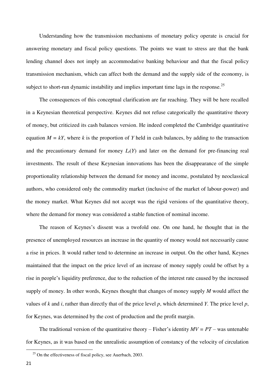Understanding how the transmission mechanisms of monetary policy operate is crucial for answering monetary and fiscal policy questions. The points we want to stress are that the bank lending channel does not imply an accommodative banking behaviour and that the fiscal policy transmission mechanism, which can affect both the demand and the supply side of the economy, is subject to short-run dynamic instability and implies important time lags in the response.<sup>25</sup>

The consequences of this conceptual clarification are far reaching. They will be here recalled in a Keynesian theoretical perspective. Keynes did not refuse categorically the quantitative theory of money, but criticized its cash balances version. He indeed completed the Cambridge quantitative equation  $M = kY$ , where k is the proportion of Y held in cash balances, by adding to the transaction and the precautionary demand for money  $L_f(Y)$  and later on the demand for pre-financing real investments. The result of these Keynesian innovations has been the disappearance of the simple proportionality relationship between the demand for money and income, postulated by neoclassical authors, who considered only the commodity market (inclusive of the market of labour-power) and the money market. What Keynes did not accept was the rigid versions of the quantitative theory, where the demand for money was considered a stable function of nominal income.

The reason of Keynes's dissent was a twofold one. On one hand, he thought that in the presence of unemployed resources an increase in the quantity of money would not necessarily cause a rise in prices. It would rather tend to determine an increase in output. On the other hand, Keynes maintained that the impact on the price level of an increase of money supply could be offset by a rise in people's liquidity preference, due to the reduction of the interest rate caused by the increased supply of money. In other words, Keynes thought that changes of money supply *M* would affect the values of *k* and *i*, rather than directly that of the price level *p*, which determined *Y.* The price level *p*, for Keynes, was determined by the cost of production and the profit margin.

The traditional version of the quantitative theory – Fisher's identity  $MV = PT$  – was untenable for Keynes, as it was based on the unrealistic assumption of constancy of the velocity of circulation

 $25$  On the effectiveness of fiscal policy, see Auerbach, 2003.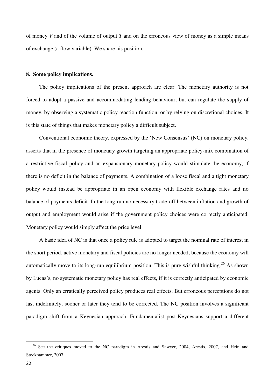of money *V* and of the volume of output *T* and on the erroneous view of money as a simple means of exchange (a flow variable). We share his position.

#### **8. Some policy implications.**

The policy implications of the present approach are clear. The monetary authority is not forced to adopt a passive and accommodating lending behaviour, but can regulate the supply of money, by observing a systematic policy reaction function, or by relying on discretional choices. It is this state of things that makes monetary policy a difficult subject.

Conventional economic theory, expressed by the 'New Consensus' (NC) on monetary policy, asserts that in the presence of monetary growth targeting an appropriate policy-mix combination of a restrictive fiscal policy and an expansionary monetary policy would stimulate the economy, if there is no deficit in the balance of payments. A combination of a loose fiscal and a tight monetary policy would instead be appropriate in an open economy with flexible exchange rates and no balance of payments deficit. In the long-run no necessary trade-off between inflation and growth of output and employment would arise if the government policy choices were correctly anticipated. Monetary policy would simply affect the price level.

A basic idea of NC is that once a policy rule is adopted to target the nominal rate of interest in the short period, active monetary and fiscal policies are no longer needed, because the economy will automatically move to its long-run equilibrium position. This is pure wishful thinking.<sup>26</sup> As shown by Lucas's, no systematic monetary policy has real effects, if it is correctly anticipated by economic agents. Only an erratically perceived policy produces real effects. But erroneous perceptions do not last indefinitely; sooner or later they tend to be corrected. The NC position involves a significant paradigm shift from a Keynesian approach. Fundamentalist post-Keynesians support a different

<sup>&</sup>lt;sup>26</sup> See the critiques moved to the NC paradigm in Arestis and Sawyer, 2004, Arestis, 2007, and Hein and Stockhammer, 2007.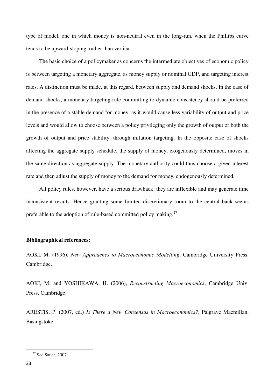type of model, one in which money is non-neutral even in the long-run, when the Phillips curve tends to be upward-sloping, rather than vertical.

The basic choice of a policymaker as concerns the intermediate objectives of economic policy is between targeting a monetary aggregate, as money supply or nominal GDP, and targeting interest rates. A distinction must be made, at this regard, between supply and demand shocks. In the case of demand shocks, a monetary targeting rule committing to dynamic consistency should be preferred in the presence of a stable demand for money, as it would cause less variability of output and price levels and would allow to choose between a policy privileging only the growth of output or both the growth of output and price stability, through inflation targeting. In the opposite case of shocks affecting the aggregate supply schedule, the supply of money, exogenously determined, moves in the same direction as aggregate supply. The monetary authority could thus choose a given interest rate and then adjust the supply of money to the demand for money, endogenously determined.

All policy rules, however, have a serious drawback: they are inflexible and may generate time inconsistent results. Hence granting some limited discretionary room to the central bank seems preferable to the adoption of rule-based committed policy making. $27$ 

#### **Bibliographical references:**

AOKI, M. (1996), *New Approaches to Macroeconomic Modelling*, Cambridge University Press, Cambridge.

AOKI, M. and YOSHIKAWA, H. (2006), *Reconstructing Macroeconomics*, Cambridge Univ. Press, Cambridge.

ARESTIS, P. (2007, ed.) *Is There a New Consensus in Macroeconomics?*, Palgrave Macmillan, Basingstoke.

<sup>&</sup>lt;sup>27</sup> See Sauer, 2007.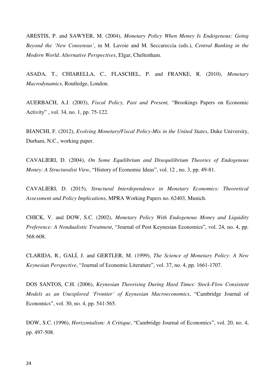ARESTIS, P. and SAWYER, M. (2004), *Monetary Policy When Money Is Endogenous: Going Beyond the 'New Consensus'*, in M. Lavoie and M. Seccareccia (eds.), *Central Banking in the Modern World. Alternative Perspectives*, Elgar, Cheltenham.

ASADA, T., CHIARELLA, C., FLASCHEL, P. and FRANKE, R. (2010), *Monetary Macrodynamics*, Routledge, London.

AUERBACH, A.J. (2003), *Fiscal Policy, Past and Present,* "Brookings Papers on Economic Activity" , vol. 34, no. 1, pp. 75-122.

BIANCHI, F. (2012), *Evolving Monetary/Fiscal Policy-Mix in the United States*, Duke University, Durham, N.C., working paper.

CAVALIERI, D. (2004), *On Some Equilibrium and Disequilibrium Theories of Endogenous Money: A Structuralist View*, "History of Economic Ideas", vol. 12 , no. 3, pp. 49-81.

CAVALIERI, D. (2015), *Structural Interdependence in Monetary Economics: Theoretical Assessment and Policy Implications*, MPRA Working Papers no. 62403, Munich.

CHICK, V. and DOW, S.C. (2002), *Monetary Policy With Endogenous Money and Liquidity Preference: A Nondualistic Treatment*, "Journal of Post Keynesian Economics", vol. 24, no. 4, pp. 568-608.

CLARIDA, R., GALÍ, J. and GERTLER, M. (1999), *The Science of Monetary Policy: A New Keynesian Perspective*, "Journal of Economic Literature", vol. 37, no. 4, pp. 1661-1707.

DOS SANTOS, C.H. (2006), *Keynesian Theorising During Hard Times: Stock-Flow Consistent Models as an Unexplored 'Frontier' of Keynesian Macroeconomics*, "Cambridge Journal of Economics", vol. 30, no. 4, pp. 541-565.

DOW, S.C. (1996), *Horizontalism: A Critique*, "Cambridge Journal of Economics", vol. 20, no. 4, pp. 497-508.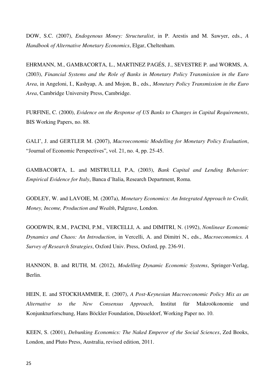DOW, S.C. (2007), *Endogenous Money: Structuralist*, in P. Arestis and M. Sawyer, eds., *A Handbook of Alternative Monetary Economics*, Elgar, Cheltenham.

EHRMANN, M., GAMBACORTA, L., MARTINEZ PAGÉS, J., SEVESTRE P. and WORMS, A. (2003), *Financial Systems and the Role of Banks in Monetary Policy Transmission in the Euro Area*, in Angeloni, I., Kashyap, A. and Mojon, B., eds., *Monetary Policy Transmission in the Euro Area*, Cambridge University Press, Cambridge.

FURFINE, C. (2000), *Evidence on the Response of US Banks to Changes in Capital Requirements*, BIS Working Papers, no. 88.

GALI', J. and GERTLER M. (2007), *Macroeconomic Modelling for Monetary Policy Evaluation*, "Journal of Economic Perspectives", vol. 21, no. 4, pp. 25-45.

GAMBACORTA, L. and MISTRULLI, P.A, (2003), *Bank Capital and Lending Behavior: Empirical Evidence for Italy*, Banca d'Italia, Research Department, Roma.

GODLEY, W. and LAVOIE, M. (2007a), *Monetary Economics: An Integrated Approach to Credit, Money, Income, Production and Wealth*, Palgrave, London.

GOODWIN, R.M., PACINI, P.M., VERCELLI, A. and DIMITRI, N. (1992), *Nonlinear Economic Dynamics and Chaos: An Introduction*, in Vercelli, A. and Dimitri N., eds., *Macroeconomics. A Survey of Research Strategies*, Oxford Univ. Press, Oxford, pp. 236-91.

HANNON, B. and RUTH, M. (2012), *Modelling Dynamic Economic Systems*, Springer-Verlag, Berlin.

HEIN, E. and STOCKHAMMER, E. (2007), *A Post-Keynesian Macroeconomic Policy Mix as an Alternative to the New Consensus Approach*, Institut für Makroökonomie und Konjunkturforschung, Hans Böckler Foundation, Düsseldorf, Working Paper no. 10.

KEEN, S. (2001), *Debunking Economics: The Naked Emperor of the Social Sciences*, Zed Books, London, and Pluto Press, Australia, revised edition, 2011.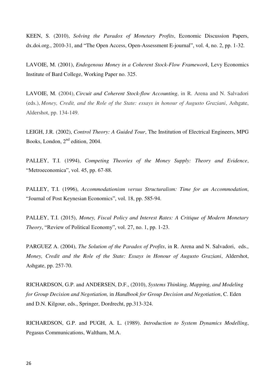KEEN, S. (2010), *Solving the Paradox of Monetary Profits*, Economic Discussion Papers, dx.doi.org., 2010-31, and "The Open Access, Open-Assessment E-journal", vol. 4, no. 2, pp. 1-32.

LAVOIE, M. (2001), *Endogenous Money in a Coherent Stock-Flow Framework*, Levy Economics Institute of Bard College, Working Paper no. 325.

LAVOIE, M. (2004), *Circuit and Coherent Stock-flow Accounting*, in R. Arena and N. Salvadori (eds.), *Money, Credit, and the Role of the State: essays in honour of Augusto Graziani*, Ashgate, Aldershot, pp. 134-149.

LEIGH, J.R. (2002), *Control Theory: A Guided Tour*, The Institution of Electrical Engineers, MPG Books, London, 2nd edition, 2004.

PALLEY, T.I. (1994), *Competing Theories of the Money Supply: Theory and Evidence*, "Metroeconomica", vol. 45, pp. 67-88.

PALLEY, T.I. (1996), *Accommodationism versus Structuralism: Time for an Accommodation*, "Journal of Post Keynesian Economics", vol. 18, pp. 585-94.

PALLEY, T.I. (2015), *Money, Fiscal Policy and Interest Rates: A Critique of Modern Monetary Theory*, "Review of Political Economy", vol. 27, no. 1, pp. 1-23.

PARGUEZ A. (2004), *The Solution of the Paradox of Profits*, in R. Arena and N. Salvadori, eds., *Money, Credit and the Role of the State: Essays in Honour of Augusto Graziani*, Aldershot, Ashgate, pp. 257-70.

RICHARDSON, G.P. and ANDERSEN, D.F., (2010), *Systems Thinking, Mapping, and Modeling for Group Decision and Negotiation,* in *Handbook for Group Decision and Negotiation*, C. Eden and D.N. Kilgour, eds., Springer, Dordrecht, pp.313-324.

RICHARDSON, G.P. and PUGH, A. L. (1989). *Introduction to System Dynamics Modelling*, Pegasus Communications, Waltham, M.A.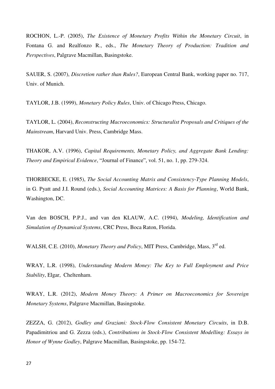ROCHON, L.-P. (2005), *The Existence of Monetary Profits Within the Monetary Circuit*, in Fontana G. and Realfonzo R., eds., *The Monetary Theory of Production: Tradition and Perspectives*, Palgrave Macmillan, Basingstoke.

SAUER, S. (2007), *Discretion rather than Rules?*, European Central Bank, working paper no. 717, Univ. of Munich.

TAYLOR, J.B. (1999), *Monetary Policy Rules*, Univ. of Chicago Press, Chicago.

TAYLOR, L. (2004), *Reconstructing Macroeconomics: Structuralist Proposals and Critiques of the Mainstream*, Harvard Univ. Press, Cambridge Mass.

THAKOR, A.V. (1996), *Capital Requirements, Monetary Policy, and Aggregate Bank Lending: Theory and Empirical Evidence*, "Journal of Finance", vol. 51, no. 1, pp. 279-324.

THORBECKE, E. (1985), *The Social Accounting Matrix and Consistency-Type Planning Models*, in G. Pyatt and J.I. Round (eds.), *Social Accounting Matrices: A Basis for Planning*, World Bank, Washington, DC.

Van den BOSCH, P.P.J., and van den KLAUW, A.C. (1994), *Modeling, Identification and Simulation of Dynamical Systems*, CRC Press, Boca Raton, Florida.

WALSH, C.E. (2010), *Monetary Theory and Policy*, MIT Press, Cambridge, Mass, 3<sup>rd</sup> ed.

WRAY, L.R. (1998), *Understanding Modern Money: The Key to Full Employment and Price Stability*, Elgar, Cheltenham.

WRAY, L.R. (2012), *Modern Money Theory: A Primer on Macroeconomics for Sovereign Monetary Systems*, Palgrave Macmillan, Basingstoke.

ZEZZA, G. (2012), *Godley and Graziani: Stock-Flow Consistent Monetary Circuits*, in D.B. Papadimitriou and G. Zezza (eds.), *Contributions in Stock-Flow Consistent Modelling: Essays in Honor of Wynne Godley*, Palgrave Macmillan, Basingstoke, pp. 154-72.